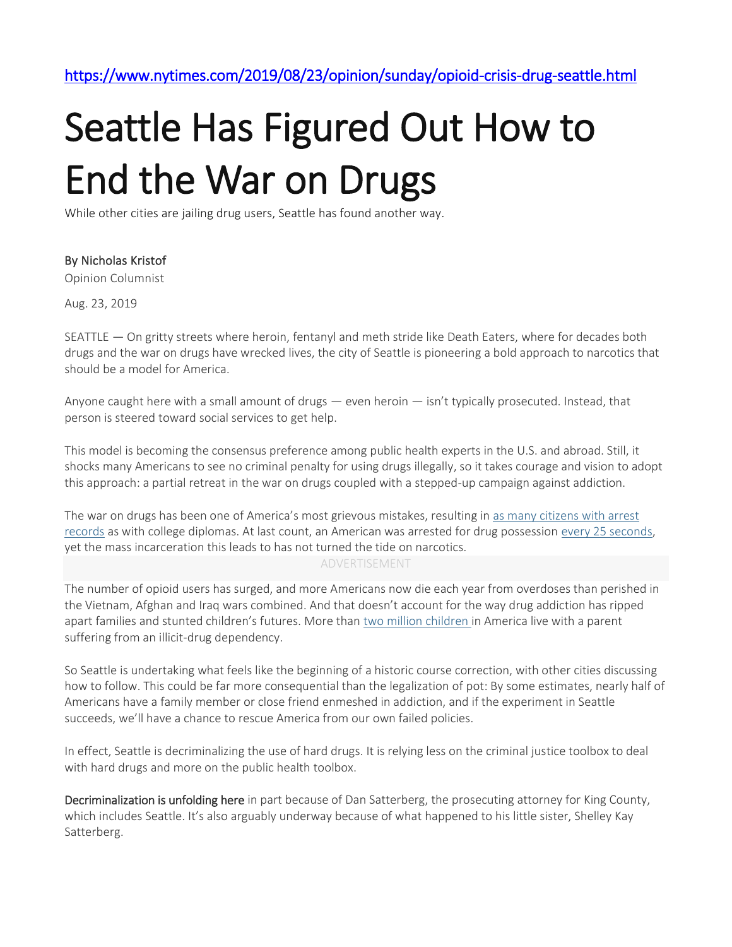## Seattle Has Figured Out How to End the War on Drugs

While other cities are jailing drug users, Seattle has found another way.

## By [Nicholas Kristof](https://www.nytimes.com/column/nicholas-kristof)

Opinion Columnist

Aug. 23, 2019

SEATTLE — On gritty streets where heroin, fentanyl and meth stride like Death Eaters, where for decades both drugs and the war on drugs have wrecked lives, the city of Seattle is pioneering a bold approach to narcotics that should be a model for America.

Anyone caught here with a small amount of drugs — even heroin — isn't typically prosecuted. Instead, that person is steered toward social services to get help.

This model is becoming the consensus preference among public health experts in the U.S. and abroad. Still, it shocks many Americans to see no criminal penalty for using drugs illegally, so it takes courage and vision to adopt this approach: a partial retreat in the war on drugs coupled with a stepped-up campaign against addiction.

The war on drugs has been one of America's most grievous mistakes, resulting in as many [citizens](https://www.brennancenter.org/blog/just-facts-many-americans-have-criminal-records-college-diplomas) with arrest [records](https://www.brennancenter.org/blog/just-facts-many-americans-have-criminal-records-college-diplomas) as with college diplomas. At last count, an American was arrested for drug possession every 25 [seconds,](https://www.hrw.org/report/2016/10/12/every-25-seconds/human-toll-criminalizing-drug-use-united-states) yet the mass incarceration this leads to has not turned the tide on narcotics.

## ADVERTISEMENT

The number of opioid users has surged, and more Americans now die each year from overdoses than perished in the Vietnam, Afghan and Iraq wars combined. And that doesn't account for the way drug addiction has ripped apart families and stunted [children](https://www.samhsa.gov/data/sites/default/files/report_3223/ShortReport-3223.html)'s futures. More than two million children in America live with a parent suffering from an illicit-drug dependency.

So Seattle is undertaking what feels like the beginning of a historic course correction, with other cities discussing how to follow. This could be far more consequential than the legalization of pot: By some estimates, nearly half of Americans have a family member or close friend enmeshed in addiction, and if the experiment in Seattle succeeds, we'll have a chance to rescue America from our own failed policies.

In effect, Seattle is decriminalizing the use of hard drugs. It is relying less on the criminal justice toolbox to deal with hard drugs and more on the public health toolbox.

Decriminalization is unfolding here in part because of Dan Satterberg, the prosecuting attorney for King County, which includes Seattle. It's also arguably underway because of what happened to his little sister, Shelley Kay Satterberg.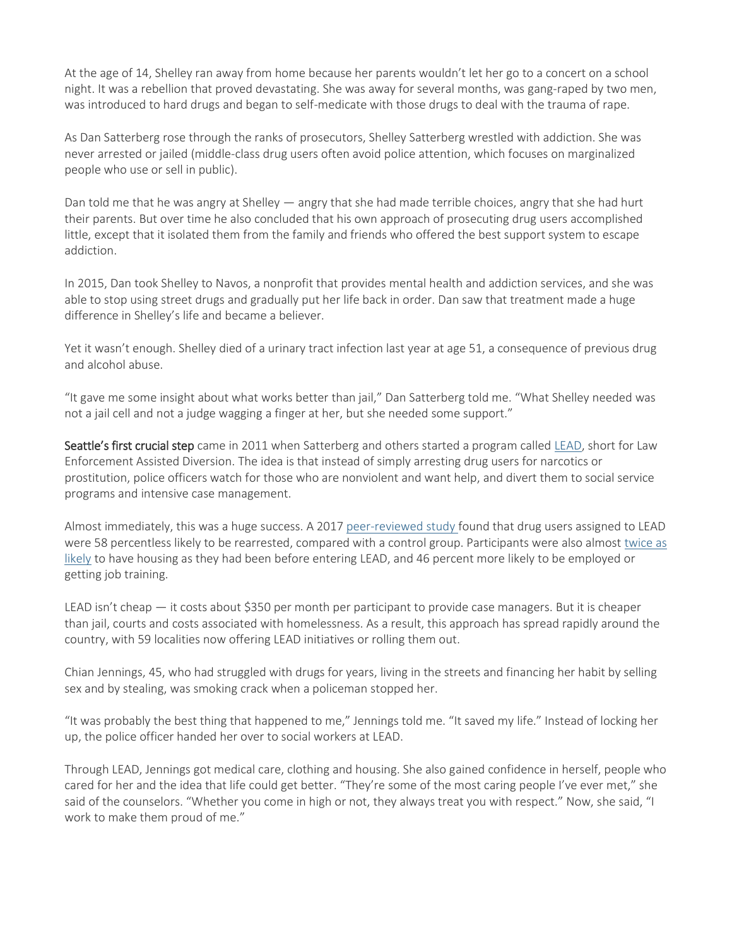At the age of 14, Shelley ran away from home because her parents wouldn't let her go to a concert on a school night. It was a rebellion that proved devastating. She was away for several months, was gang-raped by two men, was introduced to hard drugs and began to self-medicate with those drugs to deal with the trauma of rape.

As Dan Satterberg rose through the ranks of prosecutors, Shelley Satterberg wrestled with addiction. She was never arrested or jailed (middle-class drug users often avoid police attention, which focuses on marginalized people who use or sell in public).

Dan told me that he was angry at Shelley — angry that she had made terrible choices, angry that she had hurt their parents. But over time he also concluded that his own approach of prosecuting drug users accomplished little, except that it isolated them from the family and friends who offered the best support system to escape addiction.

In 2015, Dan took Shelley to Navos, a nonprofit that provides mental health and addiction services, and she was able to stop using street drugs and gradually put her life back in order. Dan saw that treatment made a huge difference in Shelley's life and became a believer.

Yet it wasn't enough. Shelley died of a urinary tract infection last year at age 51, a consequence of previous drug and alcohol abuse.

"It gave me some insight about what works better than jail," Dan Satterberg told me. "What Shelley needed was not a jail cell and not a judge wagging a finger at her, but she needed some support."

Seattle's first crucial step came in 2011 when Satterberg and others started a program called [LEAD,](https://www.leadbureau.org/about-lead) short for Law Enforcement Assisted Diversion. The idea is that instead of simply arresting drug users for narcotics or prostitution, police officers watch for those who are nonviolent and want help, and divert them to social service programs and intensive case management.

Almost immediately, this was a huge success. A 2017 [peer-reviewed](https://docs.wixstatic.com/ugd/6f124f_f4eed992eaff402f88ddb4a649a9f5e6.pdf) study found that drug users assigned to LEAD were 58 percentless likely to be rearrested, compared with a control group. Participants were also almost [twice](https://docs.wixstatic.com/ugd/6f124f_dbde96f835db4526abf7bfda03d0040f.pdf) as [likely](https://docs.wixstatic.com/ugd/6f124f_dbde96f835db4526abf7bfda03d0040f.pdf) to have housing as they had been before entering LEAD, and 46 percent more likely to be employed or getting job training.

LEAD isn't cheap — it costs about \$350 per month per participant to provide case managers. But it is cheaper than jail, courts and costs associated with homelessness. As a result, this approach has spread rapidly around the country, with 59 localities now offering LEAD initiatives or rolling them out.

Chian Jennings, 45, who had struggled with drugs for years, living in the streets and financing her habit by selling sex and by stealing, was smoking crack when a policeman stopped her.

"It was probably the best thing that happened to me," Jennings told me. "It saved my life." Instead of locking her up, the police officer handed her over to social workers at LEAD.

Through LEAD, Jennings got medical care, clothing and housing. She also gained confidence in herself, people who cared for her and the idea that life could get better. "They're some of the most caring people I've ever met," she said of the counselors. "Whether you come in high or not, they always treat you with respect." Now, she said, "I work to make them proud of me."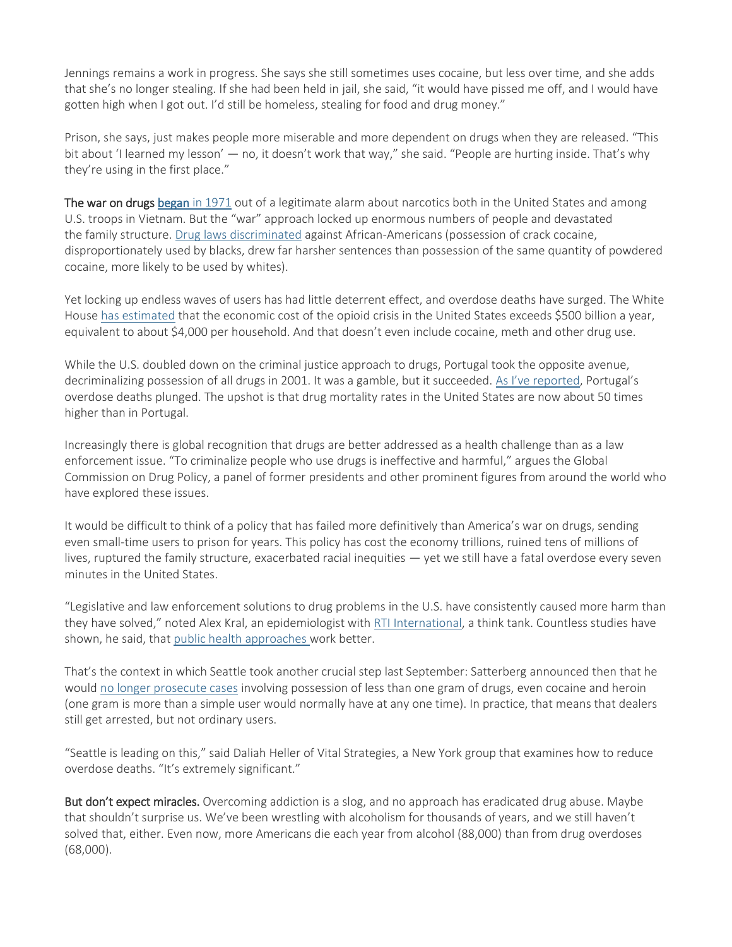Jennings remains a work in progress. She says she still sometimes uses cocaine, but less over time, and she adds that she's no longer stealing. If she had been held in jail, she said, "it would have pissed me off, and I would have gotten high when I got out. I'd still be homeless, stealing for food and drug money."

Prison, she says, just makes people more miserable and more dependent on drugs when they are released. "This bit about 'I learned my lesson' — no, it doesn't work that way," she said. "People are hurting inside. That's why they're using in the first place."

The war on drug[s began](http://www.drugpolicy.org/issues/brief-history-drug-war) in [1971](http://www.drugpolicy.org/issues/brief-history-drug-war) out of a legitimate alarm about narcotics both in the United States and among U.S. troops in Vietnam. But the "war" approach locked up enormous numbers of people and devastated the family structure. Drug laws [discriminated](https://www.aclu.org/other/cracks-system-20-years-unjust-federal-crack-cocaine-law) against African-Americans (possession of crack cocaine, disproportionately used by blacks, drew far harsher sentences than possession of the same quantity of powdered cocaine, more likely to be used by whites).

Yet locking up endless waves of users has had little deterrent effect, and overdose deaths have surged. The White House has [estimated](https://www.whitehouse.gov/sites/whitehouse.gov/files/images/The%20Underestimated%20Cost%20of%20the%20Opioid%20Crisis.pdf) that the economic cost of the opioid crisis in the United States exceeds \$500 billion a year, equivalent to about \$4,000 per household. And that doesn't even include cocaine, meth and other drug use.

While the U.S. doubled down on the criminal justice approach to drugs, Portugal took the opposite avenue, decriminalizing possession of all drugs in 2001. It was a gamble, but it succeeded. As I've [reported](https://www.nytimes.com/2017/09/22/opinion/sunday/portugal-drug-decriminalization.html?module=inline), Portugal's overdose deaths plunged. The upshot is that drug mortality rates in the United States are now about 50 times higher than in Portugal.

Increasingly there is global recognition that drugs are better addressed as a health challenge than as a law enforcement issue. "To criminalize people who use drugs is ineffective and harmful," argues the Global Commission on Drug Policy, a panel of former presidents and other prominent figures from around the world who have explored these issues.

It would be difficult to think of a policy that has failed more definitively than America's war on drugs, sending even small-time users to prison for years. This policy has cost the economy trillions, ruined tens of millions of lives, ruptured the family structure, exacerbated racial inequities — yet we still have a fatal overdose every seven minutes in the United States.

"Legislative and law enforcement solutions to drug problems in the U.S. have consistently caused more harm than they have solved," noted Alex Kral, an epidemiologist with RTI [International,](https://www.rti.org/about-us) a think tank. Countless studies have shown, he said, that public health [approaches](https://www.cdc.gov/drugoverdose/pdf/pubs/2018-evidence-based-strategies.pdf) work better.

That's the context in which Seattle took another crucial step last September: Satterberg announced then that he would no longer [prosecute](https://www.washingtonpost.com/local/public-safety/no-charges-for-personal-drug-possession-seattles-bold-gamble-to-bring-peace-after-the-war-on-drugs/2019/06/11/69a7bb46-7285-11e9-9f06-5fc2ee80027a_story.html?utm_term=.eec85d7adde8&wpisrc=nl_headlines&wpmm=1) cases involving possession of less than one gram of drugs, even cocaine and heroin (one gram is more than a simple user would normally have at any one time). In practice, that means that dealers still get arrested, but not ordinary users.

"Seattle is leading on this," said Daliah Heller of Vital Strategies, a New York group that examines how to reduce overdose deaths. "It's extremely significant."

But don't expect miracles. Overcoming addiction is a slog, and no approach has eradicated drug abuse. Maybe that shouldn't surprise us. We've been wrestling with alcoholism for thousands of years, and we still haven't solved that, either. Even now, more Americans die each year from alcohol (88,000) than from drug overdoses (68,000).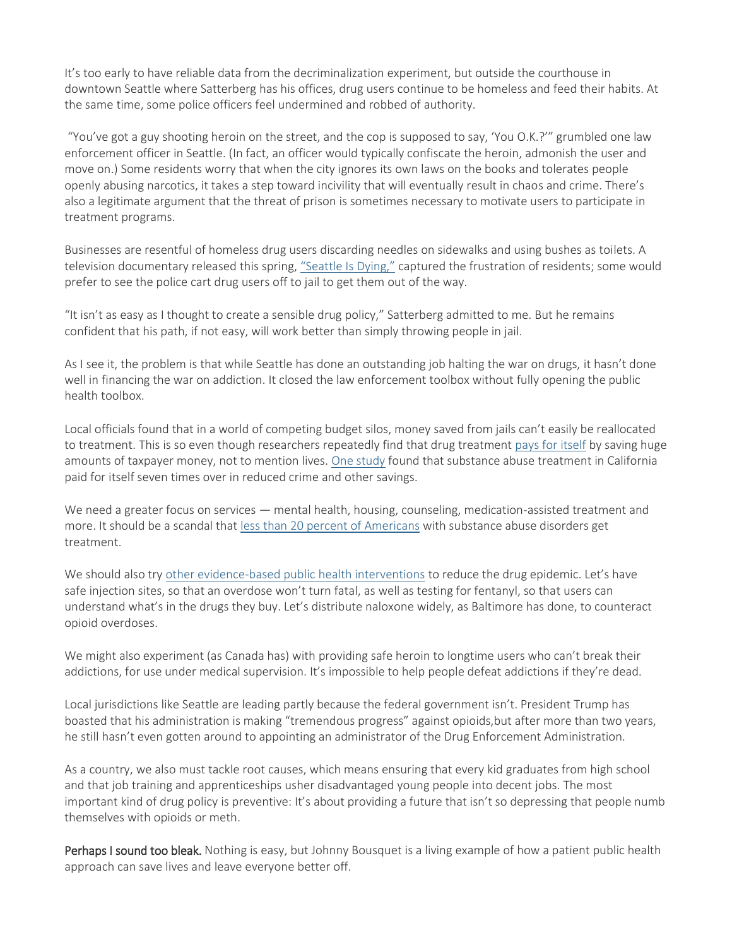It's too early to have reliable data from the decriminalization experiment, but outside the courthouse in downtown Seattle where Satterberg has his offices, drug users continue to be homeless and feed their habits. At the same time, some police officers feel undermined and robbed of authority.

"You've got a guy shooting heroin on the street, and the cop is supposed to say, 'You O.K.?'" grumbled one law enforcement officer in Seattle. (In fact, an officer would typically confiscate the heroin, admonish the user and move on.) Some residents worry that when the city ignores its own laws on the books and tolerates people openly abusing narcotics, it takes a step toward incivility that will eventually result in chaos and crime. There's also a legitimate argument that the threat of prison is sometimes necessary to motivate users to participate in treatment programs.

Businesses are resentful of homeless drug users discarding needles on sidewalks and using bushes as toilets. A television documentary released this spring, ["Seattle](https://komonews.com/news/local/komo-news-special-seattle-is-dying) Is Dying," captured the frustration of residents; some would prefer to see the police cart drug users off to jail to get them out of the way.

"It isn't as easy as I thought to create a sensible drug policy," Satterberg admitted to me. But he remains confident that his path, if not easy, will work better than simply throwing people in jail.

As I see it, the problem is that while Seattle has done an outstanding job halting the war on drugs, it hasn't done well in financing the war on addiction. It closed the law enforcement toolbox without fully opening the public health toolbox.

Local officials found that in a world of competing budget silos, money saved from jails can't easily be reallocated to treatment. This is so even though researchers repeatedly find that drug treatment pays for [itself](https://obamawhitehouse.archives.gov/sites/default/files/ondcp/Fact_Sheets/investing_in_treatment_5-23-12.pdf) by saving huge amounts of taxpayer money, not to mention lives. One [study](https://www.ncbi.nlm.nih.gov/pmc/articles/PMC1681530/) found that substance abuse treatment in California paid for itself seven times over in reduced crime and other savings.

We need a greater focus on services — mental health, housing, counseling, medication-assisted treatment and more. It should be a scandal that less than 20 percent of [Americans](https://www.nih.gov/news-events/news-releases/10-percent-us-adults-have-drug-use-disorder-some-point-their-lives) with substance abuse disorders get treatment.

We should also try other [evidence-based](https://www.cdc.gov/drugoverdose/pdf/pubs/2018-evidence-based-strategies.pdf) public health interventions to reduce the drug epidemic. Let's have safe injection sites, so that an overdose won't turn fatal, as well as testing for fentanyl, so that users can understand what's in the drugs they buy. Let's distribute naloxone widely, as Baltimore has done, to counteract opioid overdoses.

We might also experiment (as Canada has) with providing safe heroin to longtime users who can't break their addictions, for use under medical supervision. It's impossible to help people defeat addictions if they're dead.

Local jurisdictions like Seattle are leading partly because the federal government isn't. President Trump has boasted that his administration is making "tremendous progress" against opioids,but after more than two years, he still hasn't even gotten around to appointing an administrator of the Drug Enforcement Administration.

As a country, we also must tackle root causes, which means ensuring that every kid graduates from high school and that job training and apprenticeships usher disadvantaged young people into decent jobs. The most important kind of drug policy is preventive: It's about providing a future that isn't so depressing that people numb themselves with opioids or meth.

Perhaps I sound too bleak. Nothing is easy, but Johnny Bousquet is a living example of how a patient public health approach can save lives and leave everyone better off.